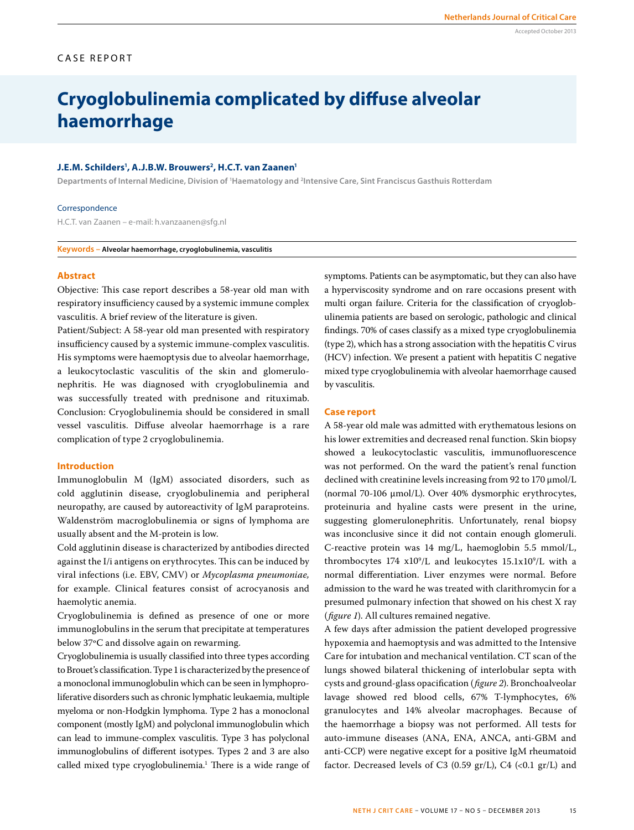# Accepted October 2013

# CASE REPORT

# **Cryoglobulinemia complicated by diffuse alveolar haemorrhage**

#### **J.E.M. Schilders1 , A.J.B.W. Brouwers2, H.C.T. van Zaanen1**

**Departments of Internal Medicine, Division of 1 Haematology and 2 Intensive Care, Sint Franciscus Gasthuis Rotterdam**

#### Correspondence

H.C.T. van Zaanen – e-mail: h.vanzaanen@sfg.nl

**Keywords – Alveolar haemorrhage, cryoglobulinemia, vasculitis**

#### **Abstract**

Objective: This case report describes a 58-year old man with respiratory insufficiency caused by a systemic immune complex vasculitis. A brief review of the literature is given.

Patient/Subject: A 58-year old man presented with respiratory insufficiency caused by a systemic immune-complex vasculitis. His symptoms were haemoptysis due to alveolar haemorrhage, a leukocytoclastic vasculitis of the skin and glomerulonephritis. He was diagnosed with cryoglobulinemia and was successfully treated with prednisone and rituximab. Conclusion: Cryoglobulinemia should be considered in small vessel vasculitis. Diffuse alveolar haemorrhage is a rare complication of type 2 cryoglobulinemia.

## **Introduction**

Immunoglobulin M (IgM) associated disorders, such as cold agglutinin disease, cryoglobulinemia and peripheral neuropathy, are caused by autoreactivity of IgM paraproteins. Waldenström macroglobulinemia or signs of lymphoma are usually absent and the M-protein is low.

Cold agglutinin disease is characterized by antibodies directed against the I/i antigens on erythrocytes. This can be induced by viral infections (i.e. EBV, CMV) or *Mycoplasma pneumoniae,* for example. Clinical features consist of acrocyanosis and haemolytic anemia.

Cryoglobulinemia is defined as presence of one or more immunoglobulins in the serum that precipitate at temperatures below 37ºC and dissolve again on rewarming.

Cryoglobulinemia is usually classified into three types according to Brouet's classification. Type 1 is characterized by the presence of a monoclonal immunoglobulin which can be seen in lymphoproliferative disorders such as chronic lymphatic leukaemia, multiple myeloma or non-Hodgkin lymphoma. Type 2 has a monoclonal component (mostly IgM) and polyclonal immunoglobulin which can lead to immune-complex vasculitis. Type 3 has polyclonal immunoglobulins of different isotypes. Types 2 and 3 are also called mixed type cryoglobulinemia.<sup>1</sup> There is a wide range of symptoms. Patients can be asymptomatic, but they can also have a hyperviscosity syndrome and on rare occasions present with multi organ failure. Criteria for the classification of cryoglobulinemia patients are based on serologic, pathologic and clinical findings. 70% of cases classify as a mixed type cryoglobulinemia (type 2), which has a strong association with the hepatitis C virus (HCV) infection. We present a patient with hepatitis C negative mixed type cryoglobulinemia with alveolar haemorrhage caused by vasculitis.

#### **Case report**

A 58-year old male was admitted with erythematous lesions on his lower extremities and decreased renal function. Skin biopsy showed a leukocytoclastic vasculitis, immunofluorescence was not performed. On the ward the patient's renal function declined with creatinine levels increasing from 92 to 170  $\mu$ mol/L (normal 70-106 µmol/L). Over 40% dysmorphic erythrocytes, proteinuria and hyaline casts were present in the urine, suggesting glomerulonephritis. Unfortunately, renal biopsy was inconclusive since it did not contain enough glomeruli. C-reactive protein was 14 mg/L, haemoglobin 5.5 mmol/L, thrombocytes  $174 \times 10^9$ /L and leukocytes  $15.1 \times 10^9$ /L with a normal differentiation. Liver enzymes were normal. Before admission to the ward he was treated with clarithromycin for a presumed pulmonary infection that showed on his chest X ray (*figure 1*). All cultures remained negative.

A few days after admission the patient developed progressive hypoxemia and haemoptysis and was admitted to the Intensive Care for intubation and mechanical ventilation. CT scan of the lungs showed bilateral thickening of interlobular septa with cysts and ground-glass opacification (*figure 2*). Bronchoalveolar lavage showed red blood cells, 67% T-lymphocytes, 6% granulocytes and 14% alveolar macrophages. Because of the haemorrhage a biopsy was not performed. All tests for auto-immune diseases (ANA, ENA, ANCA, anti-GBM and anti-CCP) were negative except for a positive IgM rheumatoid factor. Decreased levels of C3 (0.59 gr/L), C4 (<0.1 gr/L) and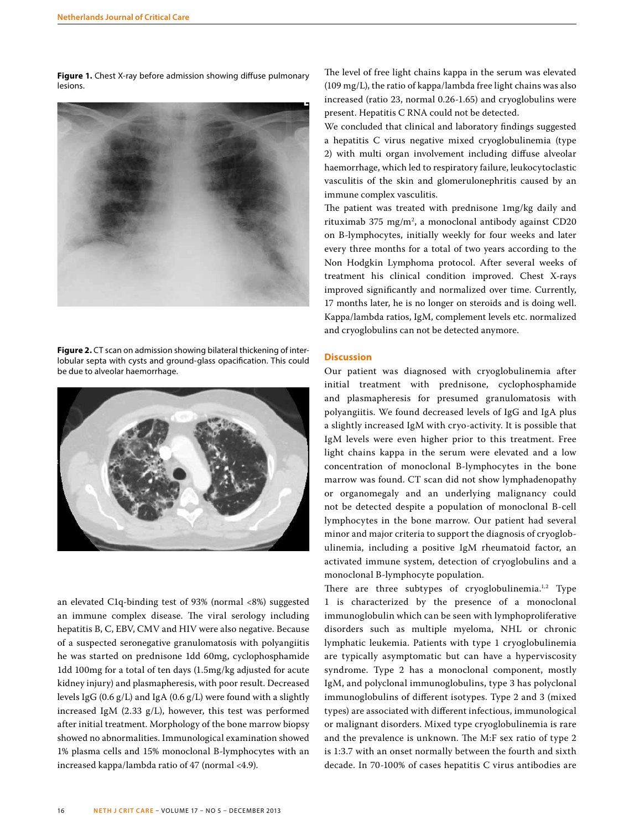**Figure 1.** Chest X-ray before admission showing diffuse pulmonary lesions.



**Figure 2.** CT scan on admission showing bilateral thickening of interlobular septa with cysts and ground-glass opacification. This could be due to alveolar haemorrhage.



an elevated C1q-binding test of 93% (normal <8%) suggested an immune complex disease. The viral serology including hepatitis B, C, EBV, CMV and HIV were also negative. Because of a suspected seronegative granulomatosis with polyangiitis he was started on prednisone 1dd 60mg, cyclophosphamide 1dd 100mg for a total of ten days (1.5mg/kg adjusted for acute kidney injury) and plasmapheresis, with poor result. Decreased levels IgG (0.6 g/L) and IgA (0.6 g/L) were found with a slightly increased IgM (2.33 g/L), however, this test was performed after initial treatment. Morphology of the bone marrow biopsy showed no abnormalities. Immunological examination showed 1% plasma cells and 15% monoclonal B-lymphocytes with an increased kappa/lambda ratio of 47 (normal <4.9).

The level of free light chains kappa in the serum was elevated (109 mg/L), the ratio of kappa/lambda free light chains was also increased (ratio 23, normal 0.26-1.65) and cryoglobulins were present. Hepatitis C RNA could not be detected.

We concluded that clinical and laboratory findings suggested a hepatitis C virus negative mixed cryoglobulinemia (type 2) with multi organ involvement including diffuse alveolar haemorrhage, which led to respiratory failure, leukocytoclastic vasculitis of the skin and glomerulonephritis caused by an immune complex vasculitis.

The patient was treated with prednisone 1mg/kg daily and rituximab 375 mg/m2 , a monoclonal antibody against CD20 on B-lymphocytes, initially weekly for four weeks and later every three months for a total of two years according to the Non Hodgkin Lymphoma protocol. After several weeks of treatment his clinical condition improved. Chest X-rays improved significantly and normalized over time. Currently, 17 months later, he is no longer on steroids and is doing well. Kappa/lambda ratios, IgM, complement levels etc. normalized and cryoglobulins can not be detected anymore.

### **Discussion**

Our patient was diagnosed with cryoglobulinemia after initial treatment with prednisone, cyclophosphamide and plasmapheresis for presumed granulomatosis with polyangiitis. We found decreased levels of IgG and IgA plus a slightly increased IgM with cryo-activity. It is possible that IgM levels were even higher prior to this treatment. Free light chains kappa in the serum were elevated and a low concentration of monoclonal B-lymphocytes in the bone marrow was found. CT scan did not show lymphadenopathy or organomegaly and an underlying malignancy could not be detected despite a population of monoclonal B-cell lymphocytes in the bone marrow. Our patient had several minor and major criteria to support the diagnosis of cryoglobulinemia, including a positive IgM rheumatoid factor, an activated immune system, detection of cryoglobulins and a monoclonal B-lymphocyte population.

There are three subtypes of cryoglobulinemia.<sup>1,2</sup> Type 1 is characterized by the presence of a monoclonal immunoglobulin which can be seen with lymphoproliferative disorders such as multiple myeloma, NHL or chronic lymphatic leukemia. Patients with type 1 cryoglobulinemia are typically asymptomatic but can have a hyperviscosity syndrome. Type 2 has a monoclonal component, mostly IgM, and polyclonal immunoglobulins, type 3 has polyclonal immunoglobulins of different isotypes. Type 2 and 3 (mixed types) are associated with different infectious, immunological or malignant disorders. Mixed type cryoglobulinemia is rare and the prevalence is unknown. The M:F sex ratio of type 2 is 1:3.7 with an onset normally between the fourth and sixth decade. In 70-100% of cases hepatitis C virus antibodies are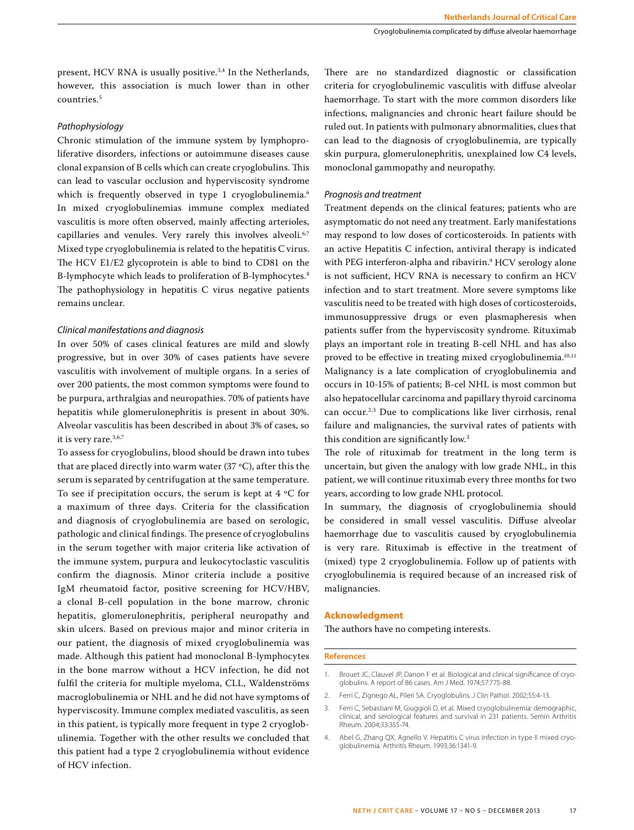present, HCV RNA is usually positive.<sup>3,4</sup> In the Netherlands, however, this association is much lower than in other countries.5

#### *Pathophysiology*

Chronic stimulation of the immune system by lymphoproliferative disorders, infections or autoimmune diseases cause clonal expansion of B cells which can create cryoglobulins. This can lead to vascular occlusion and hyperviscosity syndrome which is frequently observed in type 1 cryoglobulinemia.<sup>6</sup> In mixed cryoglobulinemias immune complex mediated vasculitis is more often observed, mainly affecting arterioles, capillaries and venules. Very rarely this involves alveoli.<sup>6,7</sup> Mixed type cryoglobulinemia is related to the hepatitis C virus. The HCV E1/E2 glycoprotein is able to bind to CD81 on the B-lymphocyte which leads to proliferation of B-lymphocytes.<sup>8</sup> The pathophysiology in hepatitis C virus negative patients remains unclear.

# *Clinical manifestations and diagnosis*

In over 50% of cases clinical features are mild and slowly progressive, but in over 30% of cases patients have severe vasculitis with involvement of multiple organs. In a series of over 200 patients, the most common symptoms were found to be purpura, arthralgias and neuropathies. 70% of patients have hepatitis while glomerulonephritis is present in about 30%. Alveolar vasculitis has been described in about 3% of cases, so it is very rare.3,6,7

To assess for cryoglobulins, blood should be drawn into tubes that are placed directly into warm water (37 ºC), after this the serum is separated by centrifugation at the same temperature. To see if precipitation occurs, the serum is kept at 4 ºC for a maximum of three days. Criteria for the classification and diagnosis of cryoglobulinemia are based on serologic, pathologic and clinical findings. The presence of cryoglobulins in the serum together with major criteria like activation of the immune system, purpura and leukocytoclastic vasculitis confirm the diagnosis. Minor criteria include a positive IgM rheumatoid factor, positive screening for HCV/HBV, a clonal B-cell population in the bone marrow, chronic hepatitis, glomerulonephritis, peripheral neuropathy and skin ulcers. Based on previous major and minor criteria in our patient, the diagnosis of mixed cryoglobulinemia was made. Although this patient had monoclonal B-lymphocytes in the bone marrow without a HCV infection, he did not fulfil the criteria for multiple myeloma, CLL, Waldenströms macroglobulinemia or NHL and he did not have symptoms of hyperviscosity. Immune complex mediated vasculitis, as seen in this patient, is typically more frequent in type 2 cryoglobulinemia. Together with the other results we concluded that this patient had a type 2 cryoglobulinemia without evidence of HCV infection.

There are no standardized diagnostic or classification criteria for cryoglobulinemic vasculitis with diffuse alveolar haemorrhage. To start with the more common disorders like infections, malignancies and chronic heart failure should be ruled out. In patients with pulmonary abnormalities, clues that can lead to the diagnosis of cryoglobulinemia, are typically skin purpura, glomerulonephritis, unexplained low C4 levels, monoclonal gammopathy and neuropathy.

#### *Prognosis and treatment*

Treatment depends on the clinical features; patients who are asymptomatic do not need any treatment. Early manifestations may respond to low doses of corticosteroids. In patients with an active Hepatitis C infection, antiviral therapy is indicated with PEG interferon-alpha and ribavirin.9 HCV serology alone is not sufficient, HCV RNA is necessary to confirm an HCV infection and to start treatment. More severe symptoms like vasculitis need to be treated with high doses of corticosteroids, immunosuppressive drugs or even plasmapheresis when patients suffer from the hyperviscosity syndrome. Rituximab plays an important role in treating B-cell NHL and has also proved to be effective in treating mixed cryoglobulinemia.<sup>10,11</sup> Malignancy is a late complication of cryoglobulinemia and occurs in 10-15% of patients; B-cel NHL is most common but also hepatocellular carcinoma and papillary thyroid carcinoma can occur.2,3 Due to complications like liver cirrhosis, renal failure and malignancies, the survival rates of patients with this condition are significantly low.<sup>3</sup>

The role of rituximab for treatment in the long term is uncertain, but given the analogy with low grade NHL, in this patient, we will continue rituximab every three months for two years, according to low grade NHL protocol.

In summary, the diagnosis of cryoglobulinemia should be considered in small vessel vasculitis. Diffuse alveolar haemorrhage due to vasculitis caused by cryoglobulinemia is very rare. Rituximab is effective in the treatment of (mixed) type 2 cryoglobulinemia. Follow up of patients with cryoglobulinemia is required because of an increased risk of malignancies.

#### **Acknowledgment**

The authors have no competing interests.

#### **References**

- 1. Brouet JC, Clauvel JP, Danon F et al. Biological and clinical significance of cryoglobulins. A report of 86 cases. Am J Med. 1974;57:775-88.
- 2. Ferri C, Zignego AL, Pileri SA. Cryoglobulins. J Clin Pathol. 2002;55:4-13.
- 3. Ferri C, Sebastiani M, Giuggioli D, et al. Mixed cryoglobulinemia: demographic, clinical, and serological features and survival in 231 patients. Semin Arthritis Rheum. 2004;33:355-74.
- 4. Abel G, Zhang QX, Agnello V. Hepatitis C virus infection in type II mixed cryoglobulinemia. Arthritis Rheum. 1993;36:1341-9.